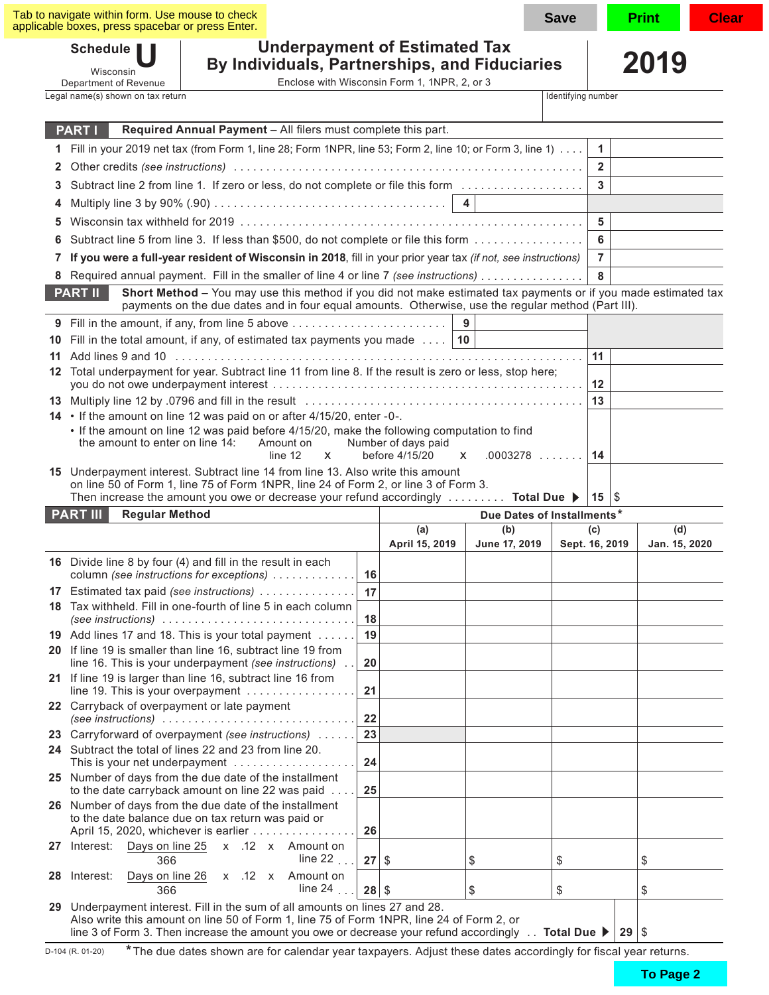| Tab to navigate within form. Use mouse to check<br>applicable boxes, press spacebar or press Enter.                                                                                                                                                                                                         |         |                                              |                            | Save               |                       | Print<br><b>Clear</b> |
|-------------------------------------------------------------------------------------------------------------------------------------------------------------------------------------------------------------------------------------------------------------------------------------------------------------|---------|----------------------------------------------|----------------------------|--------------------|-----------------------|-----------------------|
| <b>Underpayment of Estimated Tax</b><br>Schedule    <br>By Individuals, Partnerships, and Fiduciaries<br>Wisconsin<br>Department of Revenue                                                                                                                                                                 |         | Enclose with Wisconsin Form 1, 1NPR, 2, or 3 |                            |                    |                       | 2019                  |
| Legal name(s) shown on tax return                                                                                                                                                                                                                                                                           |         |                                              |                            | Identifying number |                       |                       |
| Required Annual Payment - All filers must complete this part.<br><b>PART I</b>                                                                                                                                                                                                                              |         |                                              |                            |                    |                       |                       |
| 1 Fill in your 2019 net tax (from Form 1, line 28; Form 1NPR, line 53; Form 2, line 10; or Form 3, line 1)                                                                                                                                                                                                  |         |                                              |                            |                    | $\mathbf{1}$          |                       |
| 2                                                                                                                                                                                                                                                                                                           |         |                                              |                            |                    | $\overline{2}$        |                       |
| Subtract line 2 from line 1. If zero or less, do not complete or file this form<br>3                                                                                                                                                                                                                        |         |                                              |                            |                    | 3                     |                       |
| 4                                                                                                                                                                                                                                                                                                           |         |                                              | $\overline{4}$             |                    |                       |                       |
| 5                                                                                                                                                                                                                                                                                                           |         |                                              |                            |                    | 5                     |                       |
| Subtract line 5 from line 3. If less than \$500, do not complete or file this form<br>6                                                                                                                                                                                                                     |         |                                              |                            |                    | 6                     |                       |
| If you were a full-year resident of Wisconsin in 2018, fill in your prior year tax (if not, see instructions)<br>7                                                                                                                                                                                          |         |                                              |                            |                    | $\overline{7}$        |                       |
| 8 Required annual payment. Fill in the smaller of line 4 or line 7 (see instructions)                                                                                                                                                                                                                       |         |                                              |                            |                    | 8                     |                       |
| Short Method - You may use this method if you did not make estimated tax payments or if you made estimated tax<br><b>PART II</b>                                                                                                                                                                            |         |                                              |                            |                    |                       |                       |
| payments on the due dates and in four equal amounts. Otherwise, use the regular method (Part III).<br>Fill in the amount, if any, from line 5 above                                                                                                                                                         |         |                                              | 9                          |                    |                       |                       |
| 9<br>Fill in the total amount, if any, of estimated tax payments you made $\dots$   10<br>10                                                                                                                                                                                                                |         |                                              |                            |                    |                       |                       |
| 11                                                                                                                                                                                                                                                                                                          |         |                                              |                            |                    | 11                    |                       |
| 12 Total underpayment for year. Subtract line 11 from line 8. If the result is zero or less, stop here;                                                                                                                                                                                                     |         |                                              |                            |                    |                       |                       |
|                                                                                                                                                                                                                                                                                                             |         |                                              |                            |                    | 12                    |                       |
| 14 • If the amount on line 12 was paid on or after 4/15/20, enter -0-.                                                                                                                                                                                                                                      |         |                                              |                            |                    | 13                    |                       |
| • If the amount on line 12 was paid before 4/15/20, make the following computation to find<br>the amount to enter on line 14:<br>Amount on<br>line 12<br>X.                                                                                                                                                 |         | Number of days paid<br>before 4/15/20        | $.0003278$<br>X            |                    | 14                    |                       |
| 15 Underpayment interest. Subtract line 14 from line 13. Also write this amount<br>on line 50 of Form 1, line 75 of Form 1NPR, line 24 of Form 2, or line 3 of Form 3.<br>Then increase the amount you owe or decrease your refund accordingly $\ldots \ldots \ldots$ Total Due                             |         |                                              |                            |                    | $15 \, \text{S}$      |                       |
| <b>PART III</b><br><b>Regular Method</b>                                                                                                                                                                                                                                                                    |         |                                              | Due Dates of Installments* |                    |                       |                       |
|                                                                                                                                                                                                                                                                                                             |         | (a)<br>April 15, 2019                        | (b)<br>June 17, 2019       |                    | (c)<br>Sept. 16, 2019 | (d)<br>Jan. 15, 2020  |
| 16 Divide line 8 by four (4) and fill in the result in each<br>column (see instructions for exceptions)                                                                                                                                                                                                     | 16      |                                              |                            |                    |                       |                       |
| 17 Estimated tax paid (see instructions)                                                                                                                                                                                                                                                                    | 17      |                                              |                            |                    |                       |                       |
| 18 Tax withheld. Fill in one-fourth of line 5 in each column<br>(see instructions) $\ldots \ldots \ldots \ldots \ldots \ldots \ldots \ldots \ldots$                                                                                                                                                         | 18      |                                              |                            |                    |                       |                       |
| 19 Add lines 17 and 18. This is your total payment                                                                                                                                                                                                                                                          | 19      |                                              |                            |                    |                       |                       |
| 20 If line 19 is smaller than line 16, subtract line 19 from<br>line 16. This is your underpayment (see instructions)                                                                                                                                                                                       | 20      |                                              |                            |                    |                       |                       |
| 21 If line 19 is larger than line 16, subtract line 16 from<br>line 19. This is your overpayment                                                                                                                                                                                                            | 21      |                                              |                            |                    |                       |                       |
| 22 Carryback of overpayment or late payment<br>(see instructions) $\ldots \ldots \ldots \ldots \ldots \ldots \ldots \ldots \ldots$                                                                                                                                                                          | 22      |                                              |                            |                    |                       |                       |
| 23 Carryforward of overpayment (see instructions)                                                                                                                                                                                                                                                           | 23      |                                              |                            |                    |                       |                       |
| 24 Subtract the total of lines 22 and 23 from line 20.<br>This is your net underpayment                                                                                                                                                                                                                     | 24      |                                              |                            |                    |                       |                       |
| 25 Number of days from the due date of the installment<br>to the date carryback amount on line 22 was paid                                                                                                                                                                                                  | 25      |                                              |                            |                    |                       |                       |
| 26 Number of days from the due date of the installment<br>to the date balance due on tax return was paid or<br>April 15, 2020, whichever is earlier                                                                                                                                                         | 26      |                                              |                            |                    |                       |                       |
| 27 Interest: Days on line 25<br>x .12 x Amount on<br>line 22 $\ldots$<br>366                                                                                                                                                                                                                                | 27      | -\$                                          | \$                         | \$                 |                       | \$                    |
| Days on line 26<br>x .12 x Amount on<br>28 Interest:<br>line 24 $\ldots$<br>366                                                                                                                                                                                                                             | $28$ \$ |                                              | \$                         | \$                 |                       | \$                    |
| 29 Underpayment interest. Fill in the sum of all amounts on lines 27 and 28.<br>Also write this amount on line 50 of Form 1, line 75 of Form 1NPR, line 24 of Form 2, or<br>line 3 of Form 3. Then increase the amount you owe or decrease your refund accordingly $\ldots$ Total Due $\blacktriangleright$ |         |                                              |                            |                    |                       | $29$ \$               |

D-104 (R. 01-20) **\***The due dates shown are for calendar year taxpayers. Adjust these dates accordingly for fscal year returns.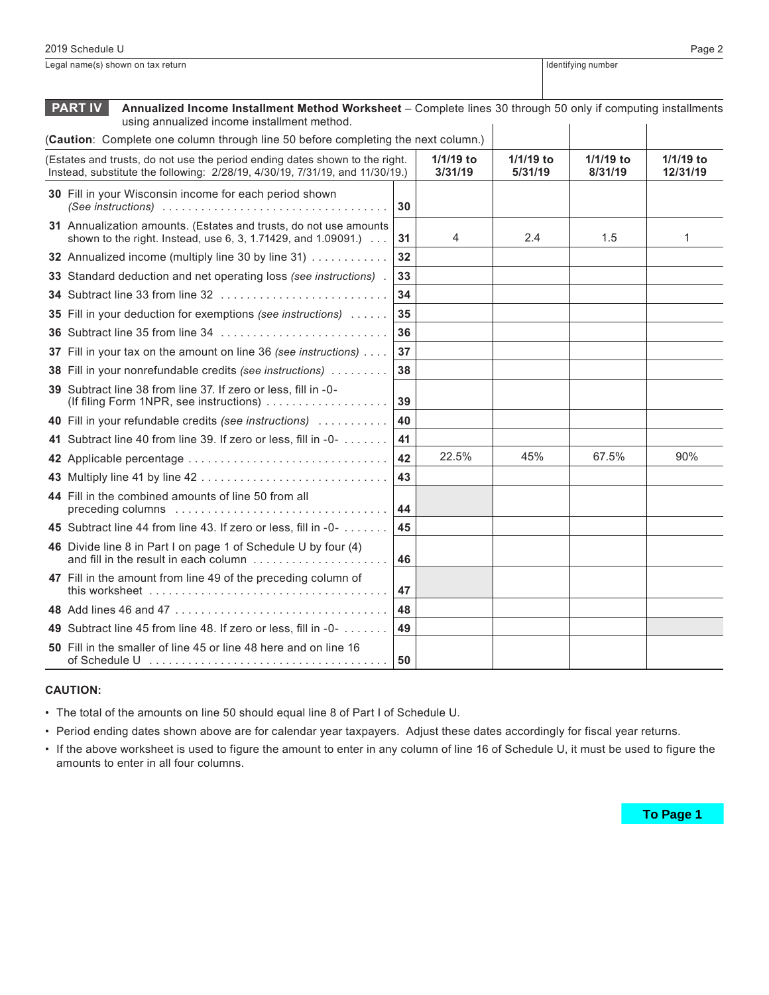|                                                                                                                                                                                     | <b>PART IV</b><br>Annualized Income Installment Method Worksheet - Complete lines 30 through 50 only if computing installments<br>using annualized income installment method. |    |       |                        |                      |                       |
|-------------------------------------------------------------------------------------------------------------------------------------------------------------------------------------|-------------------------------------------------------------------------------------------------------------------------------------------------------------------------------|----|-------|------------------------|----------------------|-----------------------|
|                                                                                                                                                                                     | (Caution: Complete one column through line 50 before completing the next column.)                                                                                             |    |       |                        |                      |                       |
| (Estates and trusts, do not use the period ending dates shown to the right.<br>1/1/19 to<br>Instead, substitute the following: 2/28/19, 4/30/19, 7/31/19, and 11/30/19.)<br>3/31/19 |                                                                                                                                                                               |    |       | $1/1/19$ to<br>5/31/19 | 1/1/19 to<br>8/31/19 | 1/1/19 to<br>12/31/19 |
|                                                                                                                                                                                     | 30 Fill in your Wisconsin income for each period shown<br>(See instructions) $\ldots \ldots \ldots \ldots \ldots \ldots \ldots \ldots \ldots \ldots$                          | 30 |       |                        |                      |                       |
|                                                                                                                                                                                     | 31 Annualization amounts. (Estates and trusts, do not use amounts<br>shown to the right. Instead, use 6, 3, 1.71429, and 1.09091.)                                            | 31 | 4     | 2.4                    | 1.5                  | 1                     |
|                                                                                                                                                                                     | 32 Annualized income (multiply line 30 by line 31)                                                                                                                            | 32 |       |                        |                      |                       |
|                                                                                                                                                                                     | 33 Standard deduction and net operating loss (see instructions).                                                                                                              | 33 |       |                        |                      |                       |
|                                                                                                                                                                                     | 34 Subtract line 33 from line 32                                                                                                                                              | 34 |       |                        |                      |                       |
|                                                                                                                                                                                     | 35 Fill in your deduction for exemptions (see instructions)                                                                                                                   | 35 |       |                        |                      |                       |
|                                                                                                                                                                                     | 36 Subtract line 35 from line 34                                                                                                                                              | 36 |       |                        |                      |                       |
|                                                                                                                                                                                     | 37 Fill in your tax on the amount on line 36 (see instructions)                                                                                                               | 37 |       |                        |                      |                       |
|                                                                                                                                                                                     | 38 Fill in your nonrefundable credits (see instructions)                                                                                                                      | 38 |       |                        |                      |                       |
|                                                                                                                                                                                     | 39 Subtract line 38 from line 37. If zero or less, fill in -0-<br>(If filing Form 1NPR, see instructions)                                                                     | 39 |       |                        |                      |                       |
|                                                                                                                                                                                     | 40 Fill in your refundable credits (see instructions)                                                                                                                         | 40 |       |                        |                      |                       |
|                                                                                                                                                                                     | 41 Subtract line 40 from line 39. If zero or less, fill in -0-                                                                                                                | 41 |       |                        |                      |                       |
|                                                                                                                                                                                     | 42 Applicable percentage                                                                                                                                                      | 42 | 22.5% | 45%                    | 67.5%                | 90%                   |
|                                                                                                                                                                                     |                                                                                                                                                                               | 43 |       |                        |                      |                       |
|                                                                                                                                                                                     | 44 Fill in the combined amounts of line 50 from all<br>preceding columns                                                                                                      | 44 |       |                        |                      |                       |
|                                                                                                                                                                                     | 45 Subtract line 44 from line 43. If zero or less, fill in -0-                                                                                                                | 45 |       |                        |                      |                       |
|                                                                                                                                                                                     | 46 Divide line 8 in Part I on page 1 of Schedule U by four (4)<br>and fill in the result in each column                                                                       | 46 |       |                        |                      |                       |
|                                                                                                                                                                                     | 47 Fill in the amount from line 49 of the preceding column of                                                                                                                 | 47 |       |                        |                      |                       |
|                                                                                                                                                                                     |                                                                                                                                                                               | 48 |       |                        |                      |                       |
|                                                                                                                                                                                     | 49 Subtract line 45 from line 48. If zero or less, fill in -0-                                                                                                                | 49 |       |                        |                      |                       |
|                                                                                                                                                                                     | 50 Fill in the smaller of line 45 or line 48 here and on line 16                                                                                                              | 50 |       |                        |                      |                       |

Legal name(s) shown on tax return **Internal and Controller on the Controller on the Internal and Identifying number** 

#### **CAUTION:**

• The total of the amounts on line 50 should equal line 8 of Part I of Schedule U.

• Period ending dates shown above are for calendar year taxpayers. Adjust these dates accordingly for fiscal year returns.

• If the above worksheet is used to figure the amount to enter in any column of line 16 of Schedule U, it must be used to figure the amounts to enter in all four columns.

To Page 1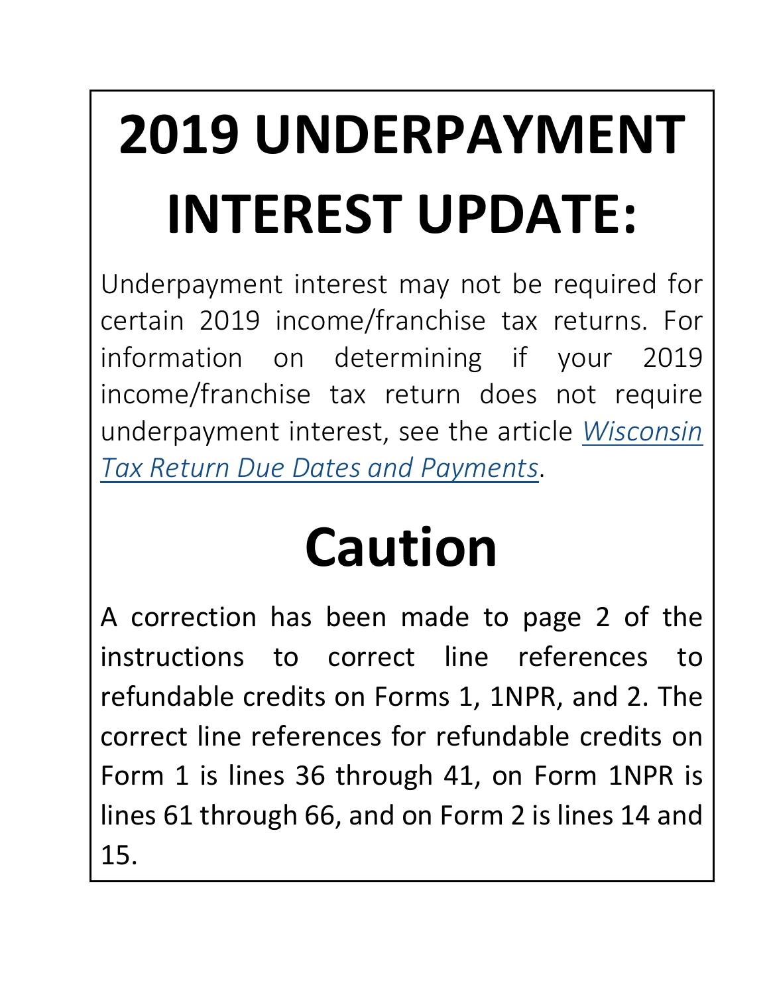# **2019 UNDERPAYMENT INTEREST UPDATE:**

Underpayment interest may not be required for certain 2019 income/franchise tax returns. For information on determining if your 2019 income/franchise tax return does not require underpayment interest, see the article *[Wisconsin](https://www.revenue.wi.gov/Pages/TaxPro/2020/TaxDeadlinesExtendedCOVID.pdf)  [Tax Return Due Dates and Payments](https://www.revenue.wi.gov/Pages/TaxPro/2020/TaxDeadlinesExtendedCOVID.pdf)*.

## **Caution**

A correction has been made to page 2 of the instructions to correct line references to refundable credits on Forms 1, 1NPR, and 2. The correct line references for refundable credits on Form 1 is lines 36 through 41, on Form 1NPR is lines 61 through 66, and on Form 2 is lines 14 and 15.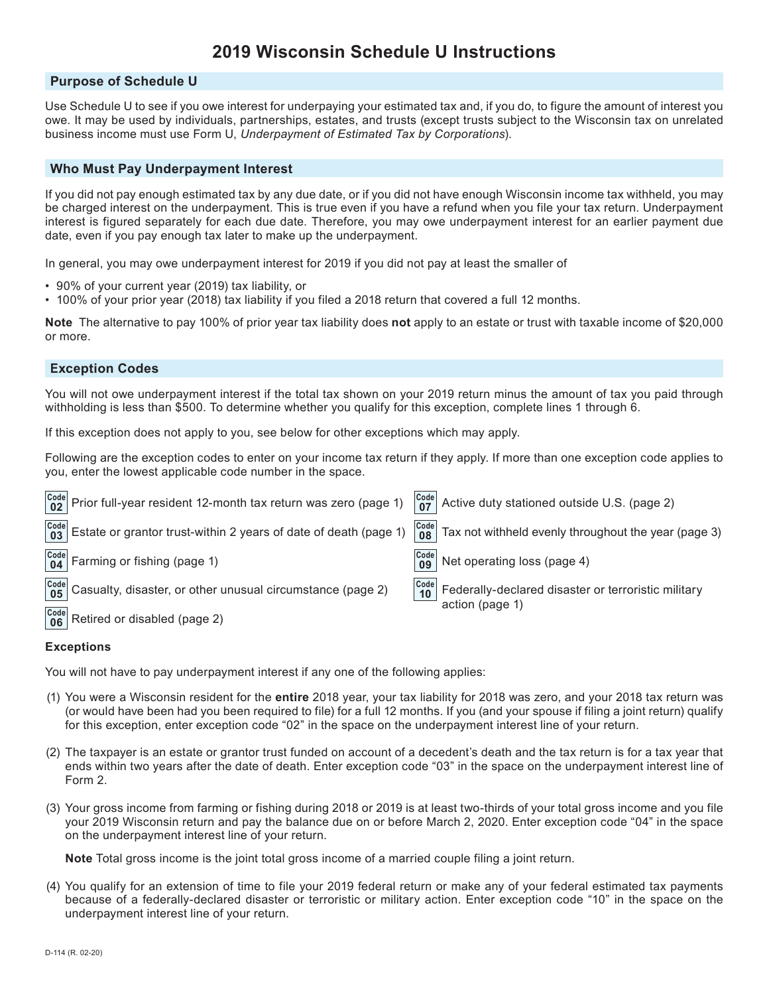### **2019 Wisconsin Schedule U Instructions**

#### **Purpose of Schedule U**

Use Schedule U to see if you owe interest for underpaying your estimated tax and, if you do, to figure the amount of interest you owe. It may be used by individuals, partnerships, estates, and trusts (except trusts subject to the Wisconsin tax on unrelated business income must use Form U, *Underpayment of Estimated Tax by Corporations*).

#### **Who Must Pay Underpayment Interest**

If you did not pay enough estimated tax by any due date, or if you did not have enough Wisconsin income tax withheld, you may be charged interest on the underpayment. This is true even if you have a refund when you file your tax return. Underpayment interest is figured separately for each due date. Therefore, you may owe underpayment interest for an earlier payment due date, even if you pay enough tax later to make up the underpayment.

In general, you may owe underpayment interest for 2019 if you did not pay at least the smaller of

- 90% of your current year (2019) tax liability, or
- 100% of your prior year (2018) tax liability if you filed a 2018 return that covered a full 12 months.

**Note** The alternative to pay 100% of prior year tax liability does **not** apply to an estate or trust with taxable income of \$20,000 or more.

#### **Exception Codes**

You will not owe underpayment interest if the total tax shown on your 2019 return minus the amount of tax you paid through withholding is less than \$500. To determine whether you qualify for this exception, complete lines 1 through 6.

If this exception does not apply to you, see below for other exceptions which may apply.

Following are the exception codes to enter on your income tax return if they apply. If more than one exception code applies to you, enter the lowest applicable code number in the space.

|                                                                                            |                                                                      | $\begin{vmatrix} \text{Code} \\ \text{07} \end{vmatrix}$ Active duty stationed outside U.S. (page 2) |
|--------------------------------------------------------------------------------------------|----------------------------------------------------------------------|------------------------------------------------------------------------------------------------------|
| $\frac{[Code]}{03}$ Estate or grantor trust-within 2 years of date of death (page 1)       | $\begin{array}{ c c }\n\hline\n\text{Code} & \text{08}\n\end{array}$ | Tax not withheld evenly throughout the year (page 3)                                                 |
| $\begin{bmatrix} \text{Code} \\ \text{04} \end{bmatrix}$ Farming or fishing (page 1)       | $\begin{array}{c} \text{Code} \\ \textbf{09} \end{array}$            | Net operating loss (page 4)                                                                          |
| $\frac{\text{Code}}{\text{05}}$ Casualty, disaster, or other unusual circumstance (page 2) | $\begin{array}{ c c }\n\hline\n\text{Code} & \text{10}\n\end{array}$ | Federally-declared disaster or terroristic military                                                  |
| $\begin{bmatrix} \text{Code} \\ \text{06} \end{bmatrix}$ Retired or disabled (page 2)      |                                                                      | action (page 1)                                                                                      |

#### **Exceptions**

You will not have to pay underpayment interest if any one of the following applies:

- (1) You were a Wisconsin resident for the **entire** 2018 year, your tax liability for 2018 was zero, and your 2018 tax return was (or would have been had you been required to file) for a full 12 months. If you (and your spouse if filing a joint return) qualify for this exception, enter exception code "02" in the space on the underpayment interest line of your return.
- (2) The taxpayer is an estate or grantor trust funded on account of a decedent's death and the tax return is for a tax year that ends within two years after the date of death. Enter exception code "03" in the space on the underpayment interest line of Form 2.
- (3) Your gross income from farming or fishing during 2018 or 2019 is at least two-thirds of your total gross income and you file your 2019 Wisconsin return and pay the balance due on or before March 2, 2020. Enter exception code "04" in the space on the underpayment interest line of your return.

**Note** Total gross income is the joint total gross income of a married couple filing a joint return.

(4) You qualify for an extension of time to file your 2019 federal return or make any of your federal estimated tax payments because of a federally-declared disaster or terroristic or military action. Enter exception code "10" in the space on the underpayment interest line of your return.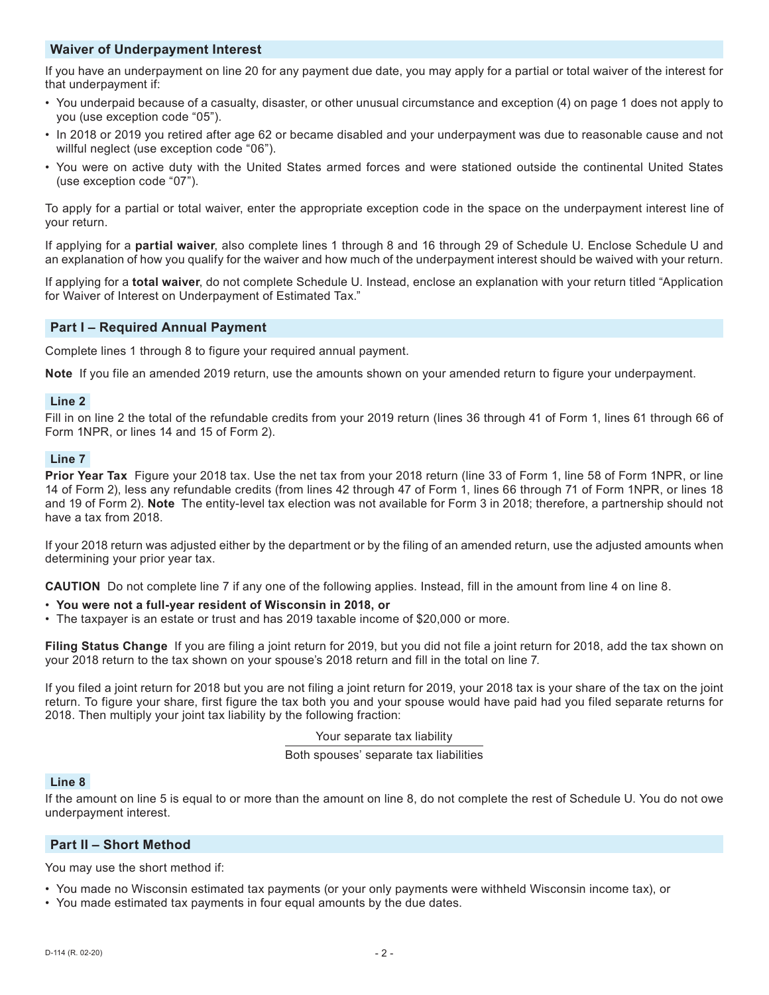#### **Waiver of Underpayment Interest**

If you have an underpayment on line 20 for any payment due date, you may apply for a partial or total waiver of the interest for that underpayment if:

- You underpaid because of a casualty, disaster, or other unusual circumstance and exception (4) on page 1 does not apply to you (use exception code "05").
- In 2018 or 2019 you retired after age 62 or became disabled and your underpayment was due to reasonable cause and not willful neglect (use exception code "06").
- You were on active duty with the United States armed forces and were stationed outside the continental United States (use exception code "07").

To apply for a partial or total waiver, enter the appropriate exception code in the space on the underpayment interest line of your return.

If applying for a **partial waiver**, also complete lines 1 through 8 and 16 through 29 of Schedule U. Enclose Schedule U and an explanation of how you qualify for the waiver and how much of the underpayment interest should be waived with your return.

If applying for a **total waiver**, do not complete Schedule U. Instead, enclose an explanation with your return titled "Application for Waiver of Interest on Underpayment of Estimated Tax."

#### **Part I – Required Annual Payment**

Complete lines 1 through 8 to figure your required annual payment.

**Note** If you file an amended 2019 return, use the amounts shown on your amended return to figure your underpayment.

#### **Line 2**

Fill in on line 2 the total of the refundable credits from your 2019 return (lines 36 through 41 of Form 1, lines 61 through 66 of Form 1NPR, or lines 14 and 15 of Form 2).

#### **Line 7**

**Prior Year Tax** Figure your 2018 tax. Use the net tax from your 2018 return (line 33 of Form 1, line 58 of Form 1NPR, or line 14 of Form 2), less any refundable credits (from lines 42 through 47 of Form 1, lines 66 through 71 of Form 1NPR, or lines 18 and 19 of Form 2). **Note** The entity-level tax election was not available for Form 3 in 2018; therefore, a partnership should not have a tax from 2018.

If your 2018 return was adjusted either by the department or by the filing of an amended return, use the adjusted amounts when determining your prior year tax.

**CAUTION** Do not complete line 7 if any one of the following applies. Instead, fill in the amount from line 4 on line 8.

- **You were not a full-year resident of Wisconsin in 2018, or**
- The taxpayer is an estate or trust and has 2019 taxable income of \$20,000 or more.

**Filing Status Change** If you are filing a joint return for 2019, but you did not file a joint return for 2018, add the tax shown on your 2018 return to the tax shown on your spouse's 2018 return and fill in the total on line 7.

If you filed a joint return for 2018 but you are not filing a joint return for 2019, your 2018 tax is your share of the tax on the joint return. To figure your share, first figure the tax both you and your spouse would have paid had you filed separate returns for 2018. Then multiply your joint tax liability by the following fraction:

Your separate tax liability

Both spouses' separate tax liabilities

#### **Line 8**

If the amount on line 5 is equal to or more than the amount on line 8, do not complete the rest of Schedule U. You do not owe underpayment interest.

#### **Part II – Short Method**

You may use the short method if:

- You made no Wisconsin estimated tax payments (or your only payments were withheld Wisconsin income tax), or
- You made estimated tax payments in four equal amounts by the due dates.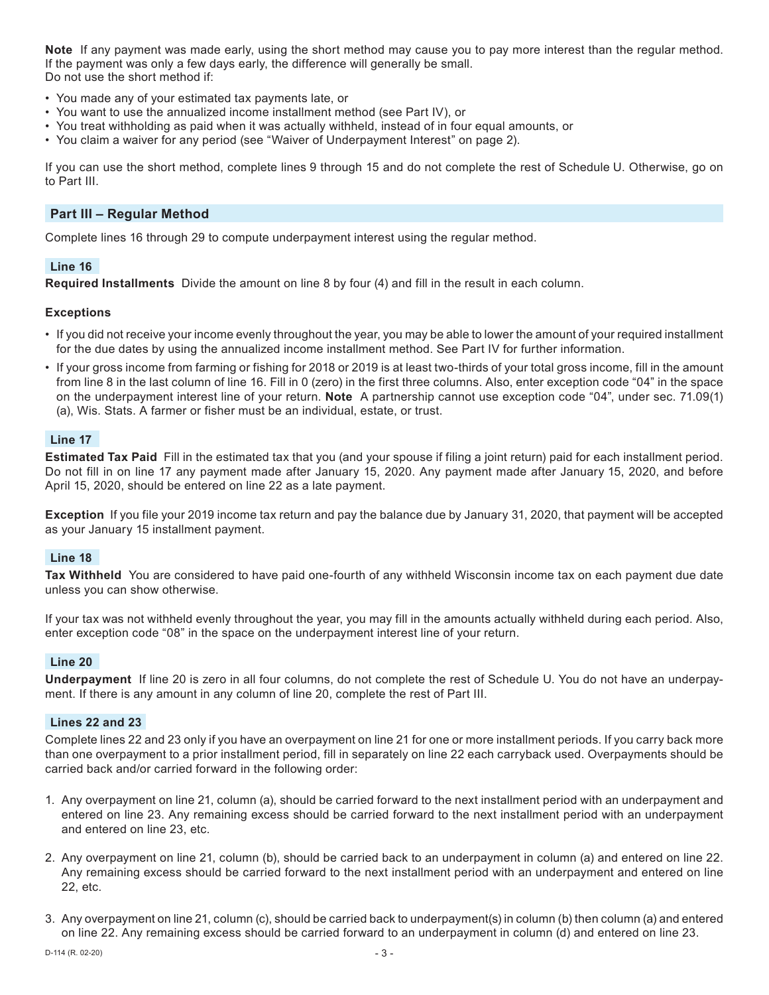**Note** If any payment was made early, using the short method may cause you to pay more interest than the regular method. If the payment was only a few days early, the difference will generally be small. Do not use the short method if:

- You made any of your estimated tax payments late, or
- You want to use the annualized income installment method (see Part IV), or
- You treat withholding as paid when it was actually withheld, instead of in four equal amounts, or
- You claim a waiver for any period (see "Waiver of Underpayment Interest" on page 2).

If you can use the short method, complete lines 9 through 15 and do not complete the rest of Schedule U. Otherwise, go on to Part III.

#### **Part III – Regular Method**

Complete lines 16 through 29 to compute underpayment interest using the regular method.

#### **Line 16**

**Required Installments** Divide the amount on line 8 by four (4) and fill in the result in each column.

#### **Exceptions**

- If you did not receive your income evenly throughout the year, you may be able to lower the amount of your required installment for the due dates by using the annualized income installment method. See Part IV for further information.
- If your gross income from farming or fishing for 2018 or 2019 is at least two-thirds of your total gross income, fill in the amount from line 8 in the last column of line 16. Fill in 0 (zero) in the first three columns. Also, enter exception code "04" in the space on the underpayment interest line of your return. **Note** A partnership cannot use exception code "04", under sec. 71.09(1) (a), Wis. Stats. A farmer or fisher must be an individual, estate, or trust.

#### **Line 17**

**Estimated Tax Paid** Fill in the estimated tax that you (and your spouse if filing a joint return) paid for each installment period. Do not fill in on line 17 any payment made after January 15, 2020. Any payment made after January 15, 2020, and before April 15, 2020, should be entered on line 22 as a late payment.

**Exception** If you file your 2019 income tax return and pay the balance due by January 31, 2020, that payment will be accepted as your January 15 installment payment.

#### **Line 18**

**Tax Withheld** You are considered to have paid one-fourth of any withheld Wisconsin income tax on each payment due date unless you can show otherwise.

If your tax was not withheld evenly throughout the year, you may fill in the amounts actually withheld during each period. Also, enter exception code "08" in the space on the underpayment interest line of your return.

#### **Line 20**

**Underpayment** If line 20 is zero in all four columns, do not complete the rest of Schedule U. You do not have an underpayment. If there is any amount in any column of line 20, complete the rest of Part III.

#### **Lines 22 and 23**

Complete lines 22 and 23 only if you have an overpayment on line 21 for one or more installment periods. If you carry back more than one overpayment to a prior installment period, fill in separately on line 22 each carryback used. Overpayments should be carried back and/or carried forward in the following order:

- 1. Any overpayment on line 21, column (a), should be carried forward to the next installment period with an underpayment and entered on line 23. Any remaining excess should be carried forward to the next installment period with an underpayment and entered on line 23, etc.
- 2. Any overpayment on line 21, column (b), should be carried back to an underpayment in column (a) and entered on line 22. Any remaining excess should be carried forward to the next installment period with an underpayment and entered on line 22, etc.
- 3. Any overpayment on line 21, column (c), should be carried back to underpayment(s) in column (b) then column (a) and entered on line 22. Any remaining excess should be carried forward to an underpayment in column (d) and entered on line 23.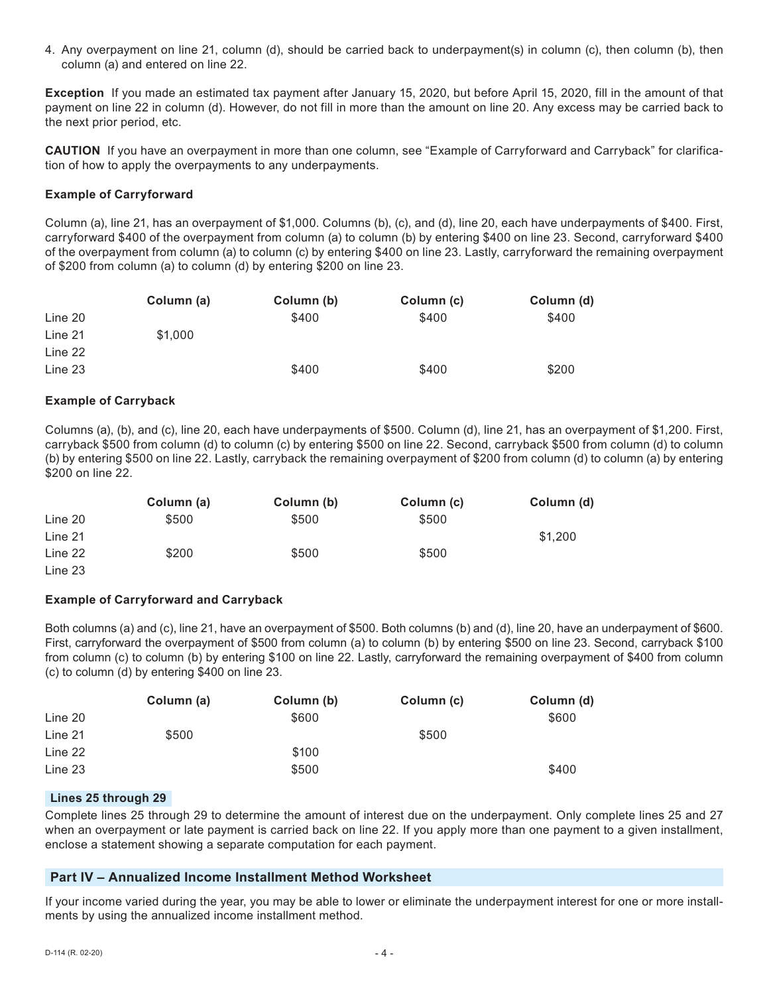4. Any overpayment on line 21, column (d), should be carried back to underpayment(s) in column (c), then column (b), then column (a) and entered on line 22.

**Exception** If you made an estimated tax payment after January 15, 2020, but before April 15, 2020, fill in the amount of that payment on line 22 in column (d). However, do not fill in more than the amount on line 20. Any excess may be carried back to the next prior period, etc.

**CAUTION** If you have an overpayment in more than one column, see "Example of Carryforward and Carryback" for clarification of how to apply the overpayments to any underpayments.

#### **Example of Carryforward**

Column (a), line 21, has an overpayment of \$1,000. Columns (b), (c), and (d), line 20, each have underpayments of \$400. First, carryforward \$400 of the overpayment from column (a) to column (b) by entering \$400 on line 23. Second, carryforward \$400 of the overpayment from column (a) to column (c) by entering \$400 on line 23. Lastly, carryforward the remaining overpayment of \$200 from column (a) to column (d) by entering \$200 on line 23.

|         | Column (a) | Column (b) | Column (c) | Column (d) |
|---------|------------|------------|------------|------------|
| Line 20 |            | \$400      | \$400      | \$400      |
| Line 21 | \$1,000    |            |            |            |
| Line 22 |            |            |            |            |
| Line 23 |            | \$400      | \$400      | \$200      |

#### **Example of Carryback**

Columns (a), (b), and (c), line 20, each have underpayments of \$500. Column (d), line 21, has an overpayment of \$1,200. First, carryback \$500 from column (d) to column (c) by entering \$500 on line 22. Second, carryback \$500 from column (d) to column (b) by entering \$500 on line 22. Lastly, carryback the remaining overpayment of \$200 from column (d) to column (a) by entering \$200 on line 22.

|         | Column (a) | Column (b) | Column (c) | Column (d) |
|---------|------------|------------|------------|------------|
| Line 20 | \$500      | \$500      | \$500      |            |
| Line 21 |            |            |            | \$1,200    |
| Line 22 | \$200      | \$500      | \$500      |            |
| Line 23 |            |            |            |            |

#### **Example of Carryforward and Carryback**

Both columns (a) and (c), line 21, have an overpayment of \$500. Both columns (b) and (d), line 20, have an underpayment of \$600. First, carryforward the overpayment of \$500 from column (a) to column (b) by entering \$500 on line 23. Second, carryback \$100 from column (c) to column (b) by entering \$100 on line 22. Lastly, carryforward the remaining overpayment of \$400 from column (c) to column (d) by entering \$400 on line 23.

|         | Column (a) | Column (b) | Column (c) | Column (d) |
|---------|------------|------------|------------|------------|
| Line 20 |            | \$600      |            | \$600      |
| Line 21 | \$500      |            | \$500      |            |
| Line 22 |            | \$100      |            |            |
| Line 23 |            | \$500      |            | \$400      |

#### **Lines 25 through 29**

Complete lines 25 through 29 to determine the amount of interest due on the underpayment. Only complete lines 25 and 27 when an overpayment or late payment is carried back on line 22. If you apply more than one payment to a given installment, enclose a statement showing a separate computation for each payment.

#### **Part IV – Annualized Income Installment Method Worksheet**

If your income varied during the year, you may be able to lower or eliminate the underpayment interest for one or more installments by using the annualized income installment method.